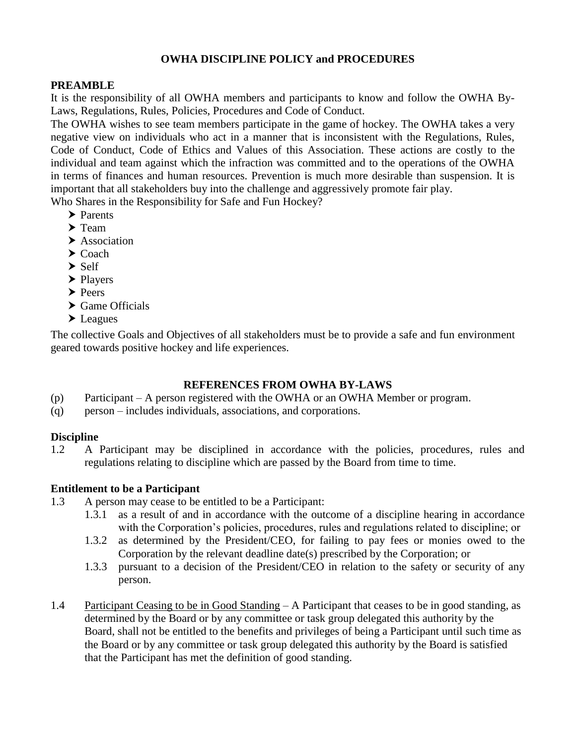## **OWHA DISCIPLINE POLICY and PROCEDURES**

#### **PREAMBLE**

It is the responsibility of all OWHA members and participants to know and follow the OWHA By-Laws, Regulations, Rules, Policies, Procedures and Code of Conduct.

The OWHA wishes to see team members participate in the game of hockey. The OWHA takes a very negative view on individuals who act in a manner that is inconsistent with the Regulations, Rules, Code of Conduct, Code of Ethics and Values of this Association. These actions are costly to the individual and team against which the infraction was committed and to the operations of the OWHA in terms of finances and human resources. Prevention is much more desirable than suspension. It is important that all stakeholders buy into the challenge and aggressively promote fair play.

Who Shares in the Responsibility for Safe and Fun Hockey?

- > Parents
- $\blacktriangleright$  Team
- $\blacktriangleright$  Association
- $\blacktriangleright$  Coach
- $\blacktriangleright$  Self
- $\blacktriangleright$  Players
- $\blacktriangleright$  Peers
- ▶ Game Officials
- ▶ Leagues

The collective Goals and Objectives of all stakeholders must be to provide a safe and fun environment geared towards positive hockey and life experiences.

## **REFERENCES FROM OWHA BY-LAWS**

- (p) Participant A person registered with the OWHA or an OWHA Member or program.
- (q) person includes individuals, associations, and corporations.

## **Discipline**

1.2 A Participant may be disciplined in accordance with the policies, procedures, rules and regulations relating to discipline which are passed by the Board from time to time.

## **Entitlement to be a Participant**

- 1.3 A person may cease to be entitled to be a Participant:
	- 1.3.1 as a result of and in accordance with the outcome of a discipline hearing in accordance with the Corporation's policies, procedures, rules and regulations related to discipline; or
	- 1.3.2 as determined by the President/CEO, for failing to pay fees or monies owed to the Corporation by the relevant deadline date(s) prescribed by the Corporation; or
	- 1.3.3 pursuant to a decision of the President/CEO in relation to the safety or security of any person.
- 1.4 Participant Ceasing to be in Good Standing A Participant that ceases to be in good standing, as determined by the Board or by any committee or task group delegated this authority by the Board, shall not be entitled to the benefits and privileges of being a Participant until such time as the Board or by any committee or task group delegated this authority by the Board is satisfied that the Participant has met the definition of good standing.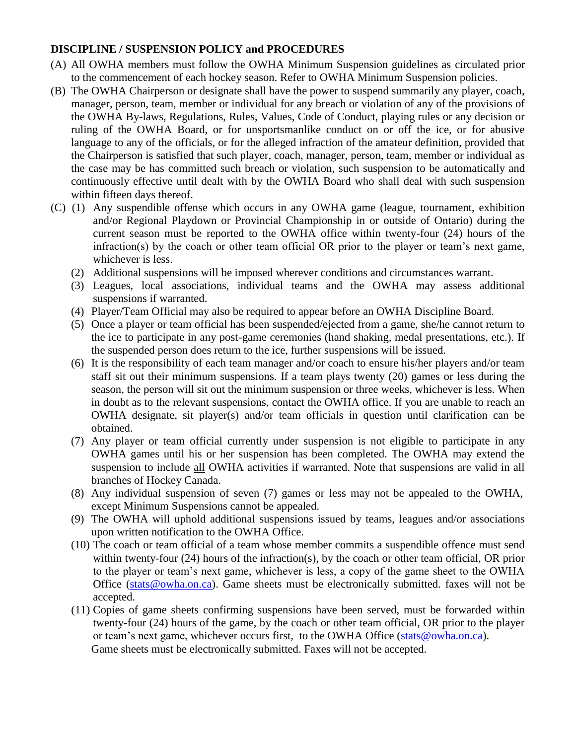## **DISCIPLINE / SUSPENSION POLICY and PROCEDURES**

- (A) All OWHA members must follow the OWHA Minimum Suspension guidelines as circulated prior to the commencement of each hockey season. Refer to OWHA Minimum Suspension policies.
- (B) The OWHA Chairperson or designate shall have the power to suspend summarily any player, coach, manager, person, team, member or individual for any breach or violation of any of the provisions of the OWHA By-laws, Regulations, Rules, Values, Code of Conduct, playing rules or any decision or ruling of the OWHA Board, or for unsportsmanlike conduct on or off the ice, or for abusive language to any of the officials, or for the alleged infraction of the amateur definition, provided that the Chairperson is satisfied that such player, coach, manager, person, team, member or individual as the case may be has committed such breach or violation, such suspension to be automatically and continuously effective until dealt with by the OWHA Board who shall deal with such suspension within fifteen days thereof.
- (C) (1) Any suspendible offense which occurs in any OWHA game (league, tournament, exhibition and/or Regional Playdown or Provincial Championship in or outside of Ontario) during the current season must be reported to the OWHA office within twenty-four (24) hours of the infraction(s) by the coach or other team official OR prior to the player or team's next game, whichever is less.
	- (2) Additional suspensions will be imposed wherever conditions and circumstances warrant.
	- (3) Leagues, local associations, individual teams and the OWHA may assess additional suspensions if warranted.
	- (4) Player/Team Official may also be required to appear before an OWHA Discipline Board.
	- (5) Once a player or team official has been suspended/ejected from a game, she/he cannot return to the ice to participate in any post-game ceremonies (hand shaking, medal presentations, etc.). If the suspended person does return to the ice, further suspensions will be issued.
	- (6) It is the responsibility of each team manager and/or coach to ensure his/her players and/or team staff sit out their minimum suspensions. If a team plays twenty (20) games or less during the season, the person will sit out the minimum suspension or three weeks, whichever is less. When in doubt as to the relevant suspensions, contact the OWHA office. If you are unable to reach an OWHA designate, sit player(s) and/or team officials in question until clarification can be obtained.
	- (7) Any player or team official currently under suspension is not eligible to participate in any OWHA games until his or her suspension has been completed. The OWHA may extend the suspension to include all OWHA activities if warranted. Note that suspensions are valid in all branches of Hockey Canada.
	- (8) Any individual suspension of seven (7) games or less may not be appealed to the OWHA, except Minimum Suspensions cannot be appealed.
	- (9) The OWHA will uphold additional suspensions issued by teams, leagues and/or associations upon written notification to the OWHA Office.
	- (10) The coach or team official of a team whose member commits a suspendible offence must send within twenty-four (24) hours of the infraction(s), by the coach or other team official, OR prior to the player or team's next game, whichever is less, a copy of the game sheet to the OWHA Office [\(stats@owha.on.ca\)](mailto:stats@owha.on.ca). Game sheets must be electronically submitted. faxes will not be accepted.
	- (11) Copies of game sheets confirming suspensions have been served, must be forwarded within twenty-four (24) hours of the game, by the coach or other team official, OR prior to the player or team's next game, whichever occurs first, to the OWHA Office [\(stats@owha.on.ca\)](mailto:stats@owha.on.ca). Game sheets must be electronically submitted. Faxes will not be accepted.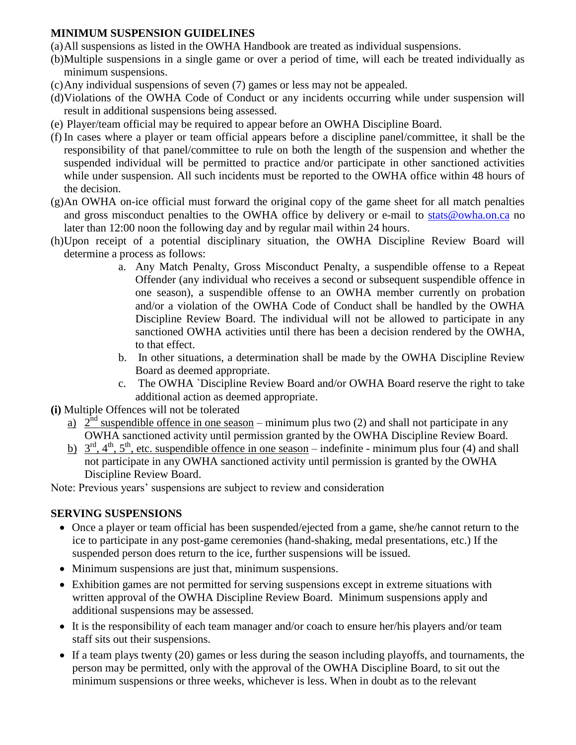## **MINIMUM SUSPENSION GUIDELINES**

- (a)All suspensions as listed in the OWHA Handbook are treated as individual suspensions.
- (b)Multiple suspensions in a single game or over a period of time, will each be treated individually as minimum suspensions.
- (c)Any individual suspensions of seven (7) games or less may not be appealed.
- (d)Violations of the OWHA Code of Conduct or any incidents occurring while under suspension will result in additional suspensions being assessed.
- (e) Player/team official may be required to appear before an OWHA Discipline Board.
- (f) In cases where a player or team official appears before a discipline panel/committee, it shall be the responsibility of that panel/committee to rule on both the length of the suspension and whether the suspended individual will be permitted to practice and/or participate in other sanctioned activities while under suspension. All such incidents must be reported to the OWHA office within 48 hours of the decision.
- (g)An OWHA on-ice official must forward the original copy of the game sheet for all match penalties and gross misconduct penalties to the OWHA office by delivery or e-mail to [stats@owha.on.ca](mailto:stats@owha.on.ca) no later than 12:00 noon the following day and by regular mail within 24 hours.
- (h)Upon receipt of a potential disciplinary situation, the OWHA Discipline Review Board will determine a process as follows:
	- a. Any Match Penalty, Gross Misconduct Penalty, a suspendible offense to a Repeat Offender (any individual who receives a second or subsequent suspendible offence in one season), a suspendible offense to an OWHA member currently on probation and/or a violation of the OWHA Code of Conduct shall be handled by the OWHA Discipline Review Board. The individual will not be allowed to participate in any sanctioned OWHA activities until there has been a decision rendered by the OWHA, to that effect.
	- b. In other situations, a determination shall be made by the OWHA Discipline Review Board as deemed appropriate.
	- c. The OWHA `Discipline Review Board and/or OWHA Board reserve the right to take additional action as deemed appropriate.
- **(i)** Multiple Offences will not be tolerated
	- <u>a)</u>  $2^{nd}$  suspendible offence in one season minimum plus two (2) and shall not participate in any OWHA sanctioned activity until permission granted by the OWHA Discipline Review Board.
	- b)  $3<sup>rd</sup>, 4<sup>th</sup>, 5<sup>th</sup>$ , etc. suspendible offence in one season indefinite minimum plus four (4) and shall not participate in any OWHA sanctioned activity until permission is granted by the OWHA Discipline Review Board.

Note: Previous years' suspensions are subject to review and consideration

# **SERVING SUSPENSIONS**

- Once a player or team official has been suspended/ejected from a game, she/he cannot return to the ice to participate in any post-game ceremonies (hand-shaking, medal presentations, etc.) If the suspended person does return to the ice, further suspensions will be issued.
- Minimum suspensions are just that, minimum suspensions.
- Exhibition games are not permitted for serving suspensions except in extreme situations with written approval of the OWHA Discipline Review Board. Minimum suspensions apply and additional suspensions may be assessed.
- It is the responsibility of each team manager and/or coach to ensure her/his players and/or team staff sits out their suspensions.
- If a team plays twenty (20) games or less during the season including playoffs, and tournaments, the person may be permitted, only with the approval of the OWHA Discipline Board, to sit out the minimum suspensions or three weeks, whichever is less. When in doubt as to the relevant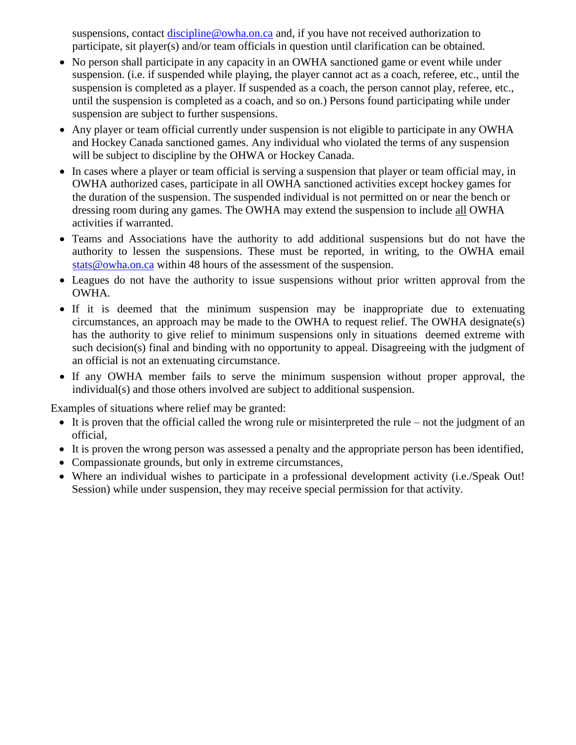suspensions, contact [discipline@owha.on.ca](mailto:discipline@owha.on.ca) and, if you have not received authorization to participate, sit player(s) and/or team officials in question until clarification can be obtained.

- No person shall participate in any capacity in an OWHA sanctioned game or event while under suspension. (i.e. if suspended while playing, the player cannot act as a coach, referee, etc., until the suspension is completed as a player. If suspended as a coach, the person cannot play, referee, etc., until the suspension is completed as a coach, and so on.) Persons found participating while under suspension are subject to further suspensions.
- Any player or team official currently under suspension is not eligible to participate in any OWHA and Hockey Canada sanctioned games. Any individual who violated the terms of any suspension will be subject to discipline by the OHWA or Hockey Canada.
- In cases where a player or team official is serving a suspension that player or team official may, in OWHA authorized cases, participate in all OWHA sanctioned activities except hockey games for the duration of the suspension. The suspended individual is not permitted on or near the bench or dressing room during any games. The OWHA may extend the suspension to include all OWHA activities if warranted.
- Teams and Associations have the authority to add additional suspensions but do not have the authority to lessen the suspensions. These must be reported, in writing, to the OWHA email [stats@owha.on.ca](mailto:stats@owha.on.ca) within 48 hours of the assessment of the suspension.
- Leagues do not have the authority to issue suspensions without prior written approval from the OWHA.
- If it is deemed that the minimum suspension may be inappropriate due to extenuating circumstances, an approach may be made to the OWHA to request relief. The OWHA designate(s) has the authority to give relief to minimum suspensions only in situations deemed extreme with such decision(s) final and binding with no opportunity to appeal. Disagreeing with the judgment of an official is not an extenuating circumstance.
- If any OWHA member fails to serve the minimum suspension without proper approval, the individual(s) and those others involved are subject to additional suspension.

Examples of situations where relief may be granted:

- It is proven that the official called the wrong rule or misinterpreted the rule not the judgment of an official,
- It is proven the wrong person was assessed a penalty and the appropriate person has been identified,
- Compassionate grounds, but only in extreme circumstances,
- Where an individual wishes to participate in a professional development activity (i.e./Speak Out! Session) while under suspension, they may receive special permission for that activity.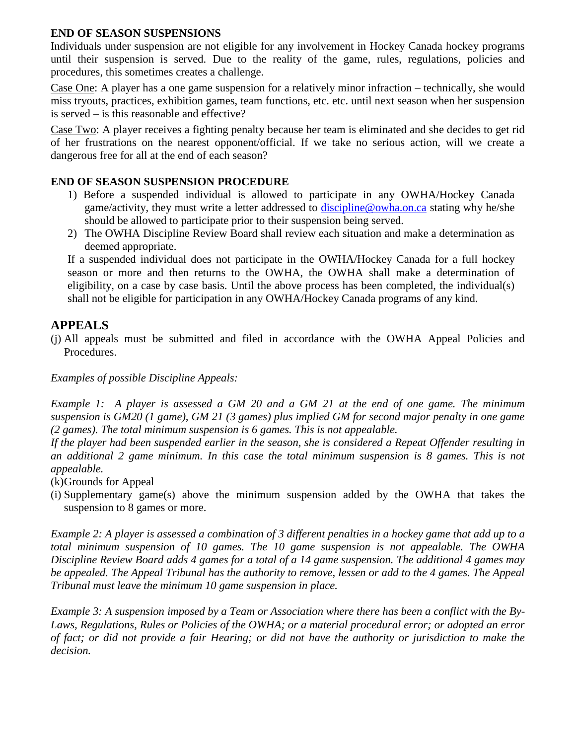#### **END OF SEASON SUSPENSIONS**

Individuals under suspension are not eligible for any involvement in Hockey Canada hockey programs until their suspension is served. Due to the reality of the game, rules, regulations, policies and procedures, this sometimes creates a challenge.

Case One: A player has a one game suspension for a relatively minor infraction – technically, she would miss tryouts, practices, exhibition games, team functions, etc. etc. until next season when her suspension is served – is this reasonable and effective?

Case Two: A player receives a fighting penalty because her team is eliminated and she decides to get rid of her frustrations on the nearest opponent/official. If we take no serious action, will we create a dangerous free for all at the end of each season?

## **END OF SEASON SUSPENSION PROCEDURE**

- 1) Before a suspended individual is allowed to participate in any OWHA/Hockey Canada game/activity, they must write a letter addressed to [discipline@owha.on.ca](mailto:discipline@owha.on.ca) stating why he/she should be allowed to participate prior to their suspension being served.
- 2) The OWHA Discipline Review Board shall review each situation and make a determination as deemed appropriate.

If a suspended individual does not participate in the OWHA/Hockey Canada for a full hockey season or more and then returns to the OWHA, the OWHA shall make a determination of eligibility, on a case by case basis. Until the above process has been completed, the individual(s) shall not be eligible for participation in any OWHA/Hockey Canada programs of any kind.

# **APPEALS**

(j) All appeals must be submitted and filed in accordance with the OWHA Appeal Policies and Procedures.

*Examples of possible Discipline Appeals:*

*Example 1: A player is assessed a GM 20 and a GM 21 at the end of one game. The minimum suspension is GM20 (1 game), GM 21 (3 games) plus implied GM for second major penalty in one game (2 games). The total minimum suspension is 6 games. This is not appealable.*

*If the player had been suspended earlier in the season, she is considered a Repeat Offender resulting in an additional 2 game minimum. In this case the total minimum suspension is 8 games. This is not appealable.*

(k)Grounds for Appeal

(i) Supplementary game(s) above the minimum suspension added by the OWHA that takes the suspension to 8 games or more.

*Example 2: A player is assessed a combination of 3 different penalties in a hockey game that add up to a total minimum suspension of 10 games. The 10 game suspension is not appealable. The OWHA Discipline Review Board adds 4 games for a total of a 14 game suspension. The additional 4 games may be appealed. The Appeal Tribunal has the authority to remove, lessen or add to the 4 games. The Appeal Tribunal must leave the minimum 10 game suspension in place.* 

*Example 3: A suspension imposed by a Team or Association where there has been a conflict with the By-Laws, Regulations, Rules or Policies of the OWHA; or a material procedural error; or adopted an error of fact; or did not provide a fair Hearing; or did not have the authority or jurisdiction to make the decision.*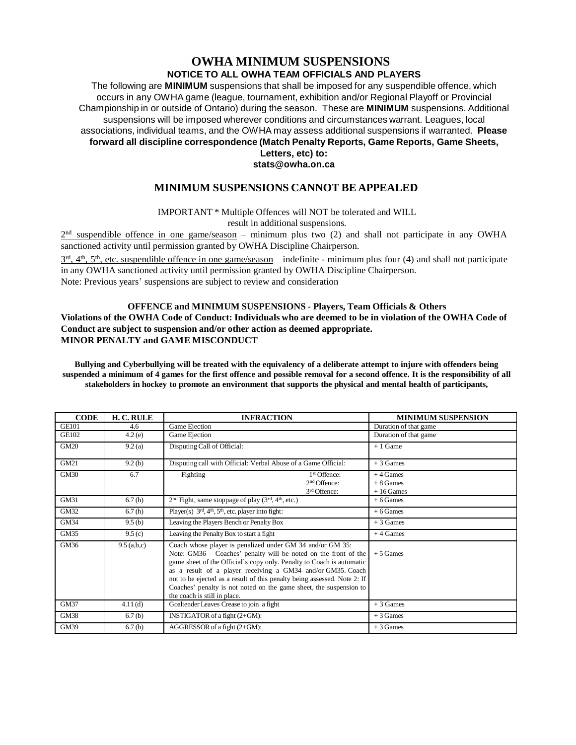#### **OWHA MINIMUM SUSPENSIONS NOTICE TO ALL OWHA TEAM OFFICIALS AND PLAYERS**

The following are **MINIMUM** suspensions that shall be imposed for any suspendible offence, which occurs in any OWHA game (league, tournament, exhibition and/or Regional Playoff or Provincial Championship in or outside of Ontario) during the season. These are **MINIMUM** suspensions. Additional suspensions will be imposed wherever conditions and circumstances warrant. Leagues, local associations, individual teams, and the OWHA may assess additional suspensions if warranted. **Please forward all discipline correspondence (Match Penalty Reports, Game Reports, Game Sheets, Letters, etc) to:**

#### **[stats@owha.on.ca](mailto:stats@owha.on.ca)**

#### **MINIMUM SUSPENSIONS CANNOT BE APPEALED**

IMPORTANT \* Multiple Offences will NOT be tolerated and WILL

result in additional suspensions.

 $2<sup>nd</sup>$  suspendible offence in one game/season – minimum plus two (2) and shall not participate in any OWHA sanctioned activity until permission granted by OWHA Discipline Chairperson.

 $3<sup>rd</sup>$ ,  $4<sup>th</sup>$ ,  $5<sup>th</sup>$ , etc. suspendible offence in one game/season – indefinite - minimum plus four (4) and shall not participate in any OWHA sanctioned activity until permission granted by OWHA Discipline Chairperson. Note: Previous years' suspensions are subject to review and consideration

#### **OFFENCE and MINIMUM SUSPENSIONS - Players, Team Officials & Others** Violations of the OWHA Code of Conduct: Individuals who are deemed to be in violation of the OWHA Code of **Conduct are subject to suspension and/or other action as deemed appropriate. MINOR PENALTY and GAME MISCONDUCT**

Bullying and Cyberbullying will be treated with the equivalency of a deliberate attempt to injure with offenders being suspended a minimum of 4 games for the first offence and possible removal for a second offence. It is the responsibility of all **stakeholders in hockey to promote an environment that supports the physical and mental health of participants,**

| <b>CODE</b>  | H. C. RULE    | <b>INFRACTION</b>                                                                                                                                                                                                                                                                                                                                                                                                                                      | <b>MINIMUM SUSPENSION</b>               |
|--------------|---------------|--------------------------------------------------------------------------------------------------------------------------------------------------------------------------------------------------------------------------------------------------------------------------------------------------------------------------------------------------------------------------------------------------------------------------------------------------------|-----------------------------------------|
| <b>GE101</b> | 4.6           | Game Ejection                                                                                                                                                                                                                                                                                                                                                                                                                                          | Duration of that game                   |
| <b>GE102</b> | 4.2(e)        | Game Ejection                                                                                                                                                                                                                                                                                                                                                                                                                                          | Duration of that game                   |
| <b>GM20</b>  | 9.2(a)        | Disputing Call of Official:                                                                                                                                                                                                                                                                                                                                                                                                                            | $+1$ Game                               |
| GM21         | 9.2(b)        | Disputing call with Official: Verbal Abuse of a Game Official:                                                                                                                                                                                                                                                                                                                                                                                         | $+3$ Games                              |
| <b>GM30</b>  | 6.7           | Fighting<br>1 <sup>st</sup> Offence:<br>2 <sup>nd</sup> Offence:<br>3 <sup>rd</sup> Offence:                                                                                                                                                                                                                                                                                                                                                           | $+4$ Games<br>$+8$ Games<br>$+16$ Games |
| GM31         | 6.7(h)        | $2nd$ Fight, same stoppage of play ( $3rd$ , $4th$ , etc.)                                                                                                                                                                                                                                                                                                                                                                                             | $+6$ Games                              |
| GM32         | 6.7(h)        | Player(s) $3rd, 4th, 5th$ , etc. player into fight:                                                                                                                                                                                                                                                                                                                                                                                                    | $+6$ Games                              |
| <b>GM34</b>  | 9.5(b)        | Leaving the Players Bench or Penalty Box                                                                                                                                                                                                                                                                                                                                                                                                               | $+3$ Games                              |
| GM35         | 9.5(c)        | Leaving the Penalty Box to start a fight                                                                                                                                                                                                                                                                                                                                                                                                               | $+4$ Games                              |
| GM36         | $9.5$ (a,b,c) | Coach whose player is penalized under GM 34 and/or GM 35:<br>Note: GM36 – Coaches' penalty will be noted on the front of the<br>game sheet of the Official's copy only. Penalty to Coach is automatic<br>as a result of a player receiving a GM34 and/or GM35. Coach<br>not to be ejected as a result of this penalty being assessed. Note 2: If<br>Coaches' penalty is not noted on the game sheet, the suspension to<br>the coach is still in place. | $+5$ Games                              |
| <b>GM37</b>  | 4.11(d)       | Goaltender Leaves Crease to join a fight                                                                                                                                                                                                                                                                                                                                                                                                               | $+3$ Games                              |
| GM38         | 6.7(b)        | INSTIGATOR of a fight (2+GM):                                                                                                                                                                                                                                                                                                                                                                                                                          | $+3$ Games                              |
| GM39         | 6.7(b)        | AGGRESSOR of a fight $(2+GM)$ :                                                                                                                                                                                                                                                                                                                                                                                                                        | $+3$ Games                              |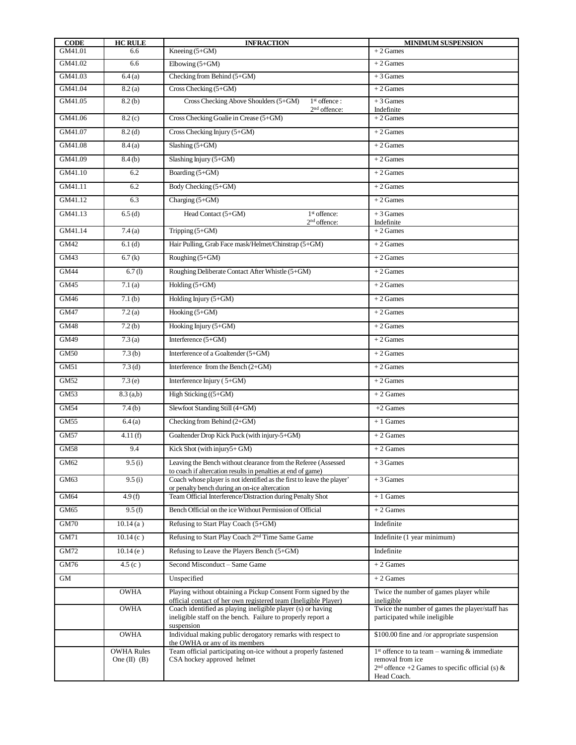| <b>CODE</b> | <b>HC RULE</b>                        | <b>INFRACTION</b>                                                                                                                        | <b>MINIMUM SUSPENSION</b>                                                                                                              |
|-------------|---------------------------------------|------------------------------------------------------------------------------------------------------------------------------------------|----------------------------------------------------------------------------------------------------------------------------------------|
| GM41.01     | 6.6                                   | Kneeing $(5+GM)$                                                                                                                         | $+2$ Games                                                                                                                             |
| GM41.02     | 6.6                                   | Elbowing $(5+GM)$                                                                                                                        | $+2$ Games                                                                                                                             |
| GM41.03     | 6.4(a)                                | Checking from Behind (5+GM)                                                                                                              | $+3$ Games                                                                                                                             |
| GM41.04     | 8.2(a)                                | Cross Checking $(5+GM)$                                                                                                                  | $+2$ Games                                                                                                                             |
| GM41.05     | 8.2(b)                                | Cross Checking Above Shoulders (5+GM)<br>1 <sup>st</sup> offence:<br>$2nd$ offence:                                                      | $+3$ Games<br>Indefinite                                                                                                               |
| GM41.06     | 8.2(c)                                | Cross Checking Goalie in Crease (5+GM)                                                                                                   | $+2$ Games                                                                                                                             |
| GM41.07     | 8.2(d)                                | Cross Checking Injury (5+GM)                                                                                                             | $+2$ Games                                                                                                                             |
| GM41.08     | 8.4(a)                                | Slashing $(5+GM)$                                                                                                                        | $+2$ Games                                                                                                                             |
| GM41.09     | 8.4(b)                                | Slashing Injury (5+GM)                                                                                                                   | $+2$ Games                                                                                                                             |
| GM41.10     | 6.2                                   | Boarding (5+GM)                                                                                                                          | $+2$ Games                                                                                                                             |
| GM41.11     | 6.2                                   | Body Checking (5+GM)                                                                                                                     | $+2$ Games                                                                                                                             |
| GM41.12     | 6.3                                   | Charging (5+GM)                                                                                                                          | $+2$ Games                                                                                                                             |
| GM41.13     | 6.5(d)                                | Head Contact (5+GM)<br>1 <sup>st</sup> offence:<br>2 <sup>nd</sup> offence:                                                              | $+3$ Games<br>Indefinite                                                                                                               |
| GM41.14     | 7.4(a)                                | Tripping (5+GM)                                                                                                                          | $+2$ Games                                                                                                                             |
| GM42        | 6.1(d)                                | Hair Pulling, Grab Face mask/Helmet/Chinstrap (5+GM)                                                                                     | $+2$ Games                                                                                                                             |
| GM43        | 6.7(k)                                | Roughing $(5+GM)$                                                                                                                        | $+2$ Games                                                                                                                             |
| <b>GM44</b> | 6.7(l)                                | Roughing Deliberate Contact After Whistle (5+GM)                                                                                         | $+2$ Games                                                                                                                             |
| GM45        | 7.1(a)                                | Holding (5+GM)                                                                                                                           | $+2$ Games                                                                                                                             |
| GM46        | 7.1(b)                                | Holding Injury $(5+GM)$                                                                                                                  | $+2$ Games                                                                                                                             |
| <b>GM47</b> | 7.2(a)                                | Hooking $(5+GM)$                                                                                                                         | $+2$ Games                                                                                                                             |
| <b>GM48</b> | 7.2(b)                                | Hooking Injury $(5+GM)$                                                                                                                  | $+2$ Games                                                                                                                             |
| GM49        | 7.3(a)                                | Interference $(5+GM)$                                                                                                                    | $+2$ Games                                                                                                                             |
| <b>GM50</b> | 7.3(b)                                | Interference of a Goaltender (5+GM)                                                                                                      | $+2$ Games                                                                                                                             |
| <b>GM51</b> | 7.3 <sub>(d)</sub>                    | Interference from the Bench $(2+GM)$                                                                                                     | $+2$ Games                                                                                                                             |
| GM52        | 7.3(e)                                | Interference Injury (5+GM)                                                                                                               | $+2$ Games                                                                                                                             |
| <b>GM53</b> | $8.3$ (a,b)                           | High Sticking $((5+GM)$                                                                                                                  | $+2$ Games                                                                                                                             |
| <b>GM54</b> | 7.4(b)                                | Slewfoot Standing Still (4+GM)                                                                                                           | $+2$ Games                                                                                                                             |
| GM55        | 6.4(a)                                | Checking from Behind (2+GM)                                                                                                              | $+1$ Games                                                                                                                             |
| <b>GM57</b> | 4.11(f)                               | Goaltender Drop Kick Puck (with injury-5+GM)                                                                                             | $+2$ Games                                                                                                                             |
| <b>GM58</b> | 9.4                                   | Kick Shot (with injury5+GM)                                                                                                              | $+2$ Games                                                                                                                             |
| GM62        | 9.5(i)                                | Leaving the Bench without clearance from the Referee (Assessed                                                                           | $+3$ Games                                                                                                                             |
| GM63        | 9.5(i)                                | to coach if altercation results in penalties at end of game)<br>Coach whose player is not identified as the first to leave the player'   | $+3$ Games                                                                                                                             |
| GM64        | 4.9 (f)                               | or penalty bench during an on-ice altercation<br>Team Official Interference/Distraction during Penalty Shot                              | $+1$ Games                                                                                                                             |
| GM65        | 9.5(f)                                | Bench Official on the ice Without Permission of Official                                                                                 | $+2$ Games                                                                                                                             |
| <b>GM70</b> | 10.14(a)                              | Refusing to Start Play Coach (5+GM)                                                                                                      | Indefinite                                                                                                                             |
| GM71        | 10.14(c)                              | Refusing to Start Play Coach 2 <sup>nd</sup> Time Same Game                                                                              | Indefinite (1 year minimum)                                                                                                            |
| GM72        | 10.14(e)                              | Refusing to Leave the Players Bench (5+GM)                                                                                               | Indefinite                                                                                                                             |
| GM76        | 4.5(c)                                | Second Misconduct - Same Game                                                                                                            | $+2$ Games                                                                                                                             |
| GM          |                                       | Unspecified                                                                                                                              | $+2$ Games                                                                                                                             |
|             | OWHA                                  | Playing without obtaining a Pickup Consent Form signed by the                                                                            | Twice the number of games player while                                                                                                 |
|             |                                       | official contact of her own registered team (Ineligible Player)                                                                          | ineligible                                                                                                                             |
|             | OWHA                                  | Coach identified as playing ineligible player (s) or having<br>ineligible staff on the bench. Failure to properly report a<br>suspension | Twice the number of games the player/staff has<br>participated while ineligible                                                        |
|             | <b>OWHA</b>                           | Individual making public derogatory remarks with respect to<br>the OWHA or any of its members                                            | \$100.00 fine and /or appropriate suspension                                                                                           |
|             | <b>OWHA Rules</b><br>One $(II)$ $(B)$ | Team official participating on-ice without a properly fastened<br>CSA hockey approved helmet                                             | $1st$ offence to ta team – warning & immediate<br>removal from ice<br>$2nd$ offence +2 Games to specific official (s) &<br>Head Coach. |